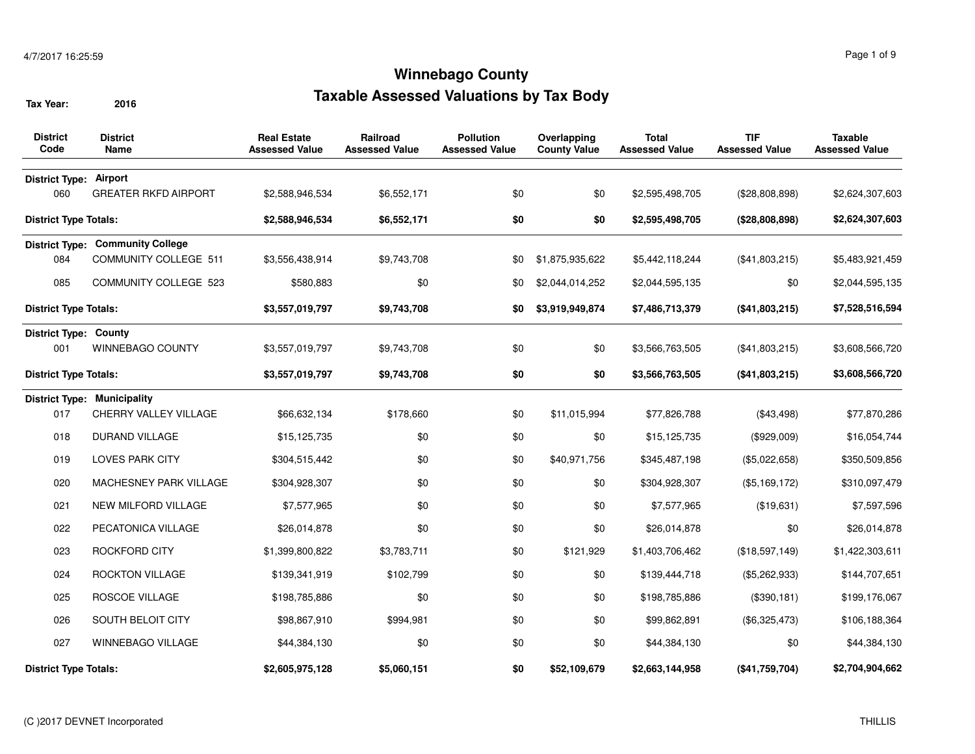| <b>District</b><br>Code       | <b>District</b><br>Name                 | <b>Real Estate</b><br><b>Assessed Value</b> | Railroad<br><b>Assessed Value</b> | <b>Pollution</b><br><b>Assessed Value</b> | Overlapping<br><b>County Value</b> | <b>Total</b><br><b>Assessed Value</b> | <b>TIF</b><br><b>Assessed Value</b> | <b>Taxable</b><br><b>Assessed Value</b> |
|-------------------------------|-----------------------------------------|---------------------------------------------|-----------------------------------|-------------------------------------------|------------------------------------|---------------------------------------|-------------------------------------|-----------------------------------------|
| <b>District Type: Airport</b> |                                         |                                             |                                   |                                           |                                    |                                       |                                     |                                         |
| 060                           | <b>GREATER RKFD AIRPORT</b>             | \$2,588,946,534                             | \$6,552,171                       | \$0                                       | \$0                                | \$2,595,498,705                       | (\$28,808,898)                      | \$2,624,307,603                         |
| <b>District Type Totals:</b>  |                                         | \$2,588,946,534                             | \$6,552,171                       | \$0                                       | \$0                                | \$2,595,498,705                       | (\$28,808,898)                      | \$2,624,307,603                         |
|                               | <b>District Type: Community College</b> |                                             |                                   |                                           |                                    |                                       |                                     |                                         |
| 084                           | <b>COMMUNITY COLLEGE 511</b>            | \$3.556.438.914                             | \$9,743,708                       | \$0                                       | \$1,875,935,622                    | \$5,442,118,244                       | (\$41,803,215)                      | \$5,483,921,459                         |
| 085                           | <b>COMMUNITY COLLEGE 523</b>            | \$580,883                                   | \$0                               | \$0                                       | \$2,044,014,252                    | \$2,044,595,135                       | \$0                                 | \$2,044,595,135                         |
| <b>District Type Totals:</b>  |                                         | \$3,557,019,797                             | \$9,743,708                       | \$0                                       | \$3,919,949,874                    | \$7,486,713,379                       | (\$41,803,215)                      | \$7,528,516,594                         |
| <b>District Type: County</b>  |                                         |                                             |                                   |                                           |                                    |                                       |                                     |                                         |
| 001                           | WINNEBAGO COUNTY                        | \$3,557,019,797                             | \$9,743,708                       | \$0                                       | \$0                                | \$3,566,763,505                       | (\$41,803,215)                      | \$3,608,566,720                         |
| <b>District Type Totals:</b>  |                                         | \$3,557,019,797                             | \$9,743,708                       | \$0                                       | \$0                                | \$3,566,763,505                       | (\$41,803,215)                      | \$3,608,566,720                         |
|                               | <b>District Type: Municipality</b>      |                                             |                                   |                                           |                                    |                                       |                                     |                                         |
| 017                           | CHERRY VALLEY VILLAGE                   | \$66,632,134                                | \$178,660                         | \$0                                       | \$11,015,994                       | \$77,826,788                          | (\$43,498)                          | \$77,870,286                            |
| 018                           | <b>DURAND VILLAGE</b>                   | \$15,125,735                                | \$0                               | \$0                                       | \$0                                | \$15,125,735                          | (\$929,009)                         | \$16,054,744                            |
| 019                           | <b>LOVES PARK CITY</b>                  | \$304,515,442                               | \$0                               | \$0                                       | \$40,971,756                       | \$345,487,198                         | (\$5,022,658)                       | \$350,509,856                           |
| 020                           | MACHESNEY PARK VILLAGE                  | \$304,928,307                               | \$0                               | \$0                                       | \$0                                | \$304,928,307                         | (\$5,169,172)                       | \$310,097,479                           |
| 021                           | <b>NEW MILFORD VILLAGE</b>              | \$7,577,965                                 | \$0                               | \$0                                       | \$0                                | \$7,577,965                           | (\$19,631)                          | \$7,597,596                             |
| 022                           | PECATONICA VILLAGE                      | \$26,014,878                                | \$0                               | \$0                                       | \$0                                | \$26,014,878                          | \$0                                 | \$26,014,878                            |
| 023                           | ROCKFORD CITY                           | \$1,399,800,822                             | \$3,783,711                       | \$0                                       | \$121,929                          | \$1,403,706,462                       | (\$18,597,149)                      | \$1,422,303,611                         |
| 024                           | <b>ROCKTON VILLAGE</b>                  | \$139,341,919                               | \$102,799                         | \$0                                       | \$0                                | \$139,444,718                         | (\$5,262,933)                       | \$144,707,651                           |
| 025                           | <b>ROSCOE VILLAGE</b>                   | \$198,785,886                               | \$0                               | \$0                                       | \$0                                | \$198,785,886                         | (\$390, 181)                        | \$199,176,067                           |
| 026                           | SOUTH BELOIT CITY                       | \$98,867,910                                | \$994,981                         | \$0                                       | \$0                                | \$99,862,891                          | (\$6,325,473)                       | \$106,188,364                           |
| 027                           | <b>WINNEBAGO VILLAGE</b>                | \$44,384,130                                | \$0                               | \$0                                       | \$0                                | \$44,384,130                          | \$0                                 | \$44,384,130                            |
| <b>District Type Totals:</b>  |                                         | \$2,605,975,128                             | \$5,060,151                       | \$0                                       | \$52,109,679                       | \$2,663,144,958                       | (\$41,759,704)                      | \$2,704,904,662                         |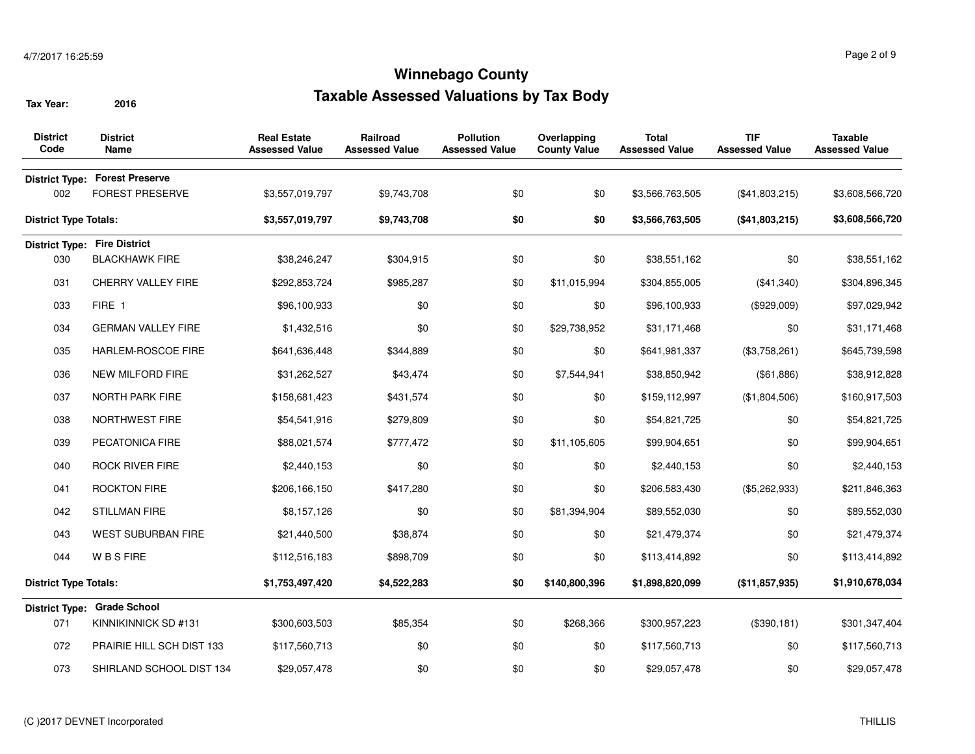| <b>District</b><br>Code      | <b>District</b><br><b>Name</b>        | <b>Real Estate</b><br><b>Assessed Value</b> | <b>Railroad</b><br><b>Assessed Value</b> | <b>Pollution</b><br><b>Assessed Value</b> | Overlapping<br><b>County Value</b> | <b>Total</b><br><b>Assessed Value</b> | <b>TIF</b><br><b>Assessed Value</b> | Taxable<br><b>Assessed Value</b> |
|------------------------------|---------------------------------------|---------------------------------------------|------------------------------------------|-------------------------------------------|------------------------------------|---------------------------------------|-------------------------------------|----------------------------------|
|                              | <b>District Type: Forest Preserve</b> |                                             |                                          |                                           |                                    |                                       |                                     |                                  |
| 002                          | <b>FOREST PRESERVE</b>                | \$3,557,019,797                             | \$9,743,708                              | \$0                                       | \$0                                | \$3,566,763,505                       | (\$41,803,215)                      | \$3,608,566,720                  |
| <b>District Type Totals:</b> |                                       | \$3,557,019,797                             | \$9,743,708                              | \$0                                       | \$0                                | \$3,566,763,505                       | (\$41,803,215)                      | \$3,608,566,720                  |
|                              | <b>District Type: Fire District</b>   |                                             |                                          |                                           |                                    |                                       |                                     |                                  |
| 030                          | <b>BLACKHAWK FIRE</b>                 | \$38,246,247                                | \$304,915                                | \$0                                       | \$0                                | \$38,551,162                          | \$0                                 | \$38,551,162                     |
| 031                          | <b>CHERRY VALLEY FIRE</b>             | \$292,853,724                               | \$985,287                                | \$0                                       | \$11,015,994                       | \$304,855,005                         | (\$41,340)                          | \$304,896,345                    |
| 033                          | FIRE 1                                | \$96,100,933                                | \$0                                      | \$0                                       | \$0                                | \$96,100,933                          | (\$929,009)                         | \$97,029,942                     |
| 034                          | <b>GERMAN VALLEY FIRE</b>             | \$1,432,516                                 | \$0                                      | \$0                                       | \$29,738,952                       | \$31,171,468                          | \$0                                 | \$31,171,468                     |
| 035                          | <b>HARLEM-ROSCOE FIRE</b>             | \$641,636,448                               | \$344,889                                | \$0                                       | \$0                                | \$641,981,337                         | (\$3,758,261)                       | \$645,739,598                    |
| 036                          | NEW MILFORD FIRE                      | \$31,262,527                                | \$43,474                                 | \$0                                       | \$7,544,941                        | \$38,850,942                          | (\$61,886)                          | \$38,912,828                     |
| 037                          | NORTH PARK FIRE                       | \$158,681,423                               | \$431,574                                | \$0                                       | \$0                                | \$159,112,997                         | (\$1,804,506)                       | \$160,917,503                    |
| 038                          | <b>NORTHWEST FIRE</b>                 | \$54,541,916                                | \$279,809                                | \$0                                       | \$0                                | \$54,821,725                          | \$0                                 | \$54,821,725                     |
| 039                          | PECATONICA FIRE                       | \$88,021,574                                | \$777,472                                | \$0                                       | \$11,105,605                       | \$99,904,651                          | \$0                                 | \$99,904,651                     |
| 040                          | <b>ROCK RIVER FIRE</b>                | \$2,440,153                                 | \$0                                      | \$0                                       | \$0                                | \$2,440,153                           | \$0                                 | \$2,440,153                      |
| 041                          | <b>ROCKTON FIRE</b>                   | \$206,166,150                               | \$417,280                                | \$0                                       | \$0                                | \$206,583,430                         | (\$5,262,933)                       | \$211,846,363                    |
| 042                          | <b>STILLMAN FIRE</b>                  | \$8,157,126                                 | \$0                                      | \$0                                       | \$81,394,904                       | \$89,552,030                          | \$0                                 | \$89,552,030                     |
| 043                          | <b>WEST SUBURBAN FIRE</b>             | \$21,440,500                                | \$38,874                                 | \$0                                       | \$0                                | \$21,479,374                          | \$0                                 | \$21,479,374                     |
| 044                          | <b>WBSFIRE</b>                        | \$112,516,183                               | \$898,709                                | \$0                                       | \$0                                | \$113,414,892                         | \$0                                 | \$113,414,892                    |
| <b>District Type Totals:</b> |                                       | \$1,753,497,420                             | \$4,522,283                              | \$0                                       | \$140,800,396                      | \$1,898,820,099                       | (\$11,857,935)                      | \$1,910,678,034                  |
|                              | District Type: Grade School           |                                             |                                          |                                           |                                    |                                       |                                     |                                  |
| 071                          | KINNIKINNICK SD #131                  | \$300,603,503                               | \$85,354                                 | \$0                                       | \$268,366                          | \$300,957,223                         | (\$390, 181)                        | \$301,347,404                    |
| 072                          | PRAIRIE HILL SCH DIST 133             | \$117,560,713                               | \$0                                      | \$0                                       | \$0                                | \$117,560,713                         | \$0                                 | \$117,560,713                    |
| 073                          | SHIRLAND SCHOOL DIST 134              | \$29,057,478                                | \$0                                      | \$0                                       | \$0                                | \$29,057,478                          | \$0                                 | \$29,057,478                     |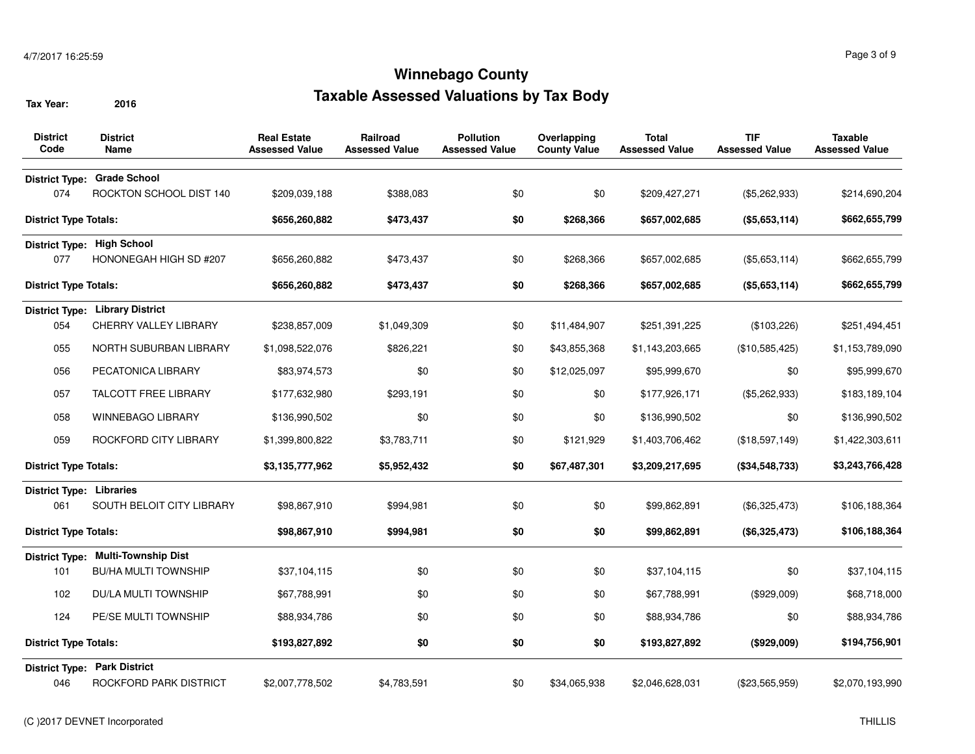| <b>District</b><br>Code         | <b>District</b><br><b>Name</b>         | <b>Real Estate</b><br><b>Assessed Value</b> | <b>Railroad</b><br><b>Assessed Value</b> | <b>Pollution</b><br><b>Assessed Value</b> | Overlapping<br><b>County Value</b> | <b>Total</b><br><b>Assessed Value</b> | <b>TIF</b><br><b>Assessed Value</b> | <b>Taxable</b><br><b>Assessed Value</b> |
|---------------------------------|----------------------------------------|---------------------------------------------|------------------------------------------|-------------------------------------------|------------------------------------|---------------------------------------|-------------------------------------|-----------------------------------------|
| <b>District Type:</b>           | <b>Grade School</b>                    |                                             |                                          |                                           |                                    |                                       |                                     |                                         |
| 074                             | ROCKTON SCHOOL DIST 140                | \$209,039,188                               | \$388,083                                | \$0                                       | \$0                                | \$209,427,271                         | (\$5,262,933)                       | \$214,690,204                           |
| <b>District Type Totals:</b>    |                                        | \$656,260,882                               | \$473,437                                | \$0                                       | \$268,366                          | \$657,002,685                         | (\$5,653,114)                       | \$662,655,799                           |
|                                 | District Type: High School             |                                             |                                          |                                           |                                    |                                       |                                     |                                         |
| 077                             | HONONEGAH HIGH SD #207                 | \$656,260,882                               | \$473,437                                | \$0                                       | \$268,366                          | \$657,002,685                         | (\$5,653,114)                       | \$662,655,799                           |
| <b>District Type Totals:</b>    |                                        | \$656,260,882                               | \$473,437                                | \$0                                       | \$268,366                          | \$657,002,685                         | (\$5,653,114)                       | \$662,655,799                           |
|                                 | <b>District Type: Library District</b> |                                             |                                          |                                           |                                    |                                       |                                     |                                         |
| 054                             | <b>CHERRY VALLEY LIBRARY</b>           | \$238,857,009                               | \$1,049,309                              | \$0                                       | \$11,484,907                       | \$251,391,225                         | (\$103,226)                         | \$251,494,451                           |
| 055                             | NORTH SUBURBAN LIBRARY                 | \$1,098,522,076                             | \$826,221                                | \$0                                       | \$43,855,368                       | \$1,143,203,665                       | (\$10,585,425)                      | \$1,153,789,090                         |
| 056                             | PECATONICA LIBRARY                     | \$83,974,573                                | \$0                                      | \$0                                       | \$12,025,097                       | \$95,999,670                          | \$0                                 | \$95,999,670                            |
| 057                             | <b>TALCOTT FREE LIBRARY</b>            | \$177,632,980                               | \$293,191                                | \$0                                       | \$0                                | \$177,926,171                         | (\$5,262,933)                       | \$183,189,104                           |
| 058                             | WINNEBAGO LIBRARY                      | \$136,990,502                               | \$0                                      | \$0                                       | \$0                                | \$136,990,502                         | \$0                                 | \$136,990,502                           |
| 059                             | ROCKFORD CITY LIBRARY                  | \$1,399,800,822                             | \$3,783,711                              | \$0                                       | \$121,929                          | \$1,403,706,462                       | (\$18,597,149)                      | \$1,422,303,611                         |
| <b>District Type Totals:</b>    |                                        | \$3,135,777,962                             | \$5,952,432                              | \$0                                       | \$67,487,301                       | \$3,209,217,695                       | (\$34,548,733)                      | \$3,243,766,428                         |
| <b>District Type: Libraries</b> |                                        |                                             |                                          |                                           |                                    |                                       |                                     |                                         |
| 061                             | SOUTH BELOIT CITY LIBRARY              | \$98,867,910                                | \$994,981                                | \$0                                       | \$0                                | \$99,862,891                          | (\$6,325,473)                       | \$106,188,364                           |
| <b>District Type Totals:</b>    |                                        | \$98,867,910                                | \$994,981                                | \$0                                       | \$0                                | \$99,862,891                          | (\$6,325,473)                       | \$106,188,364                           |
|                                 | District Type: Multi-Township Dist     |                                             |                                          |                                           |                                    |                                       |                                     |                                         |
| 101                             | BU/HA MULTI TOWNSHIP                   | \$37,104,115                                | \$0                                      | \$0                                       | \$0                                | \$37,104,115                          | \$0                                 | \$37,104,115                            |
| 102                             | DU/LA MULTI TOWNSHIP                   | \$67,788,991                                | \$0                                      | \$0                                       | \$0                                | \$67,788,991                          | (\$929,009)                         | \$68,718,000                            |
| 124                             | PE/SE MULTI TOWNSHIP                   | \$88,934,786                                | \$0                                      | \$0                                       | \$0                                | \$88,934,786                          | \$0                                 | \$88,934,786                            |
| <b>District Type Totals:</b>    |                                        | \$193,827,892                               | \$0                                      | \$0                                       | \$0                                | \$193,827,892                         | (\$929,009)                         | \$194,756,901                           |
|                                 | <b>District Type: Park District</b>    |                                             |                                          |                                           |                                    |                                       |                                     |                                         |
| 046                             | ROCKFORD PARK DISTRICT                 | \$2,007,778,502                             | \$4,783,591                              | \$0                                       | \$34,065,938                       | \$2,046,628,031                       | (\$23,565,959)                      | \$2,070,193,990                         |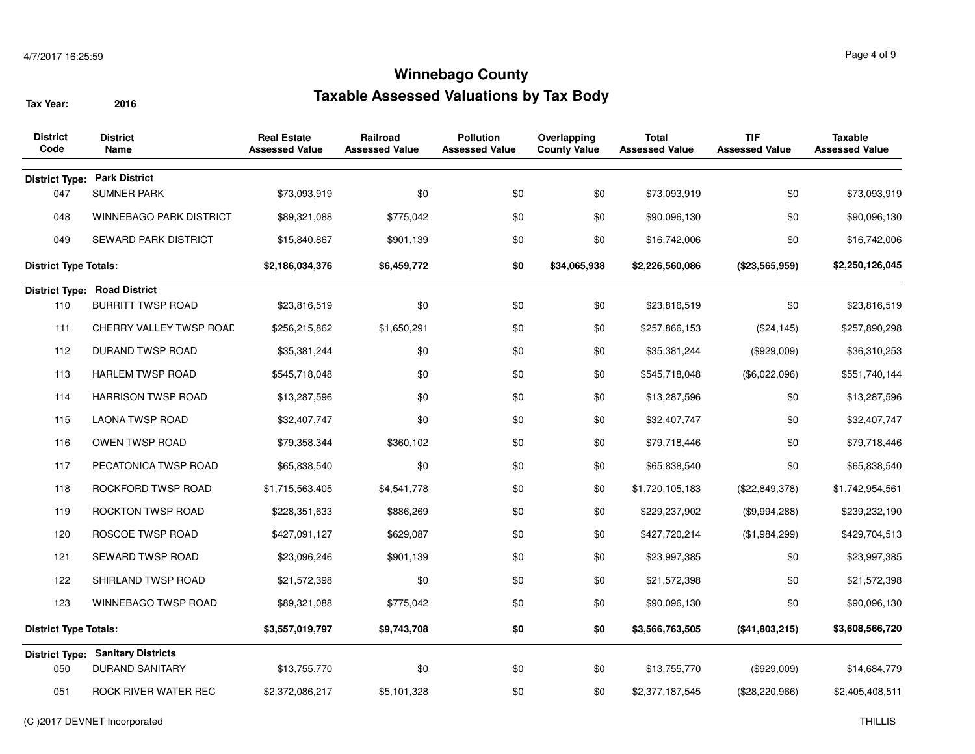| <b>District</b><br>Code      | <b>District</b><br>Name             | <b>Real Estate</b><br><b>Assessed Value</b> | Railroad<br><b>Assessed Value</b> | <b>Pollution</b><br><b>Assessed Value</b> | Overlapping<br><b>County Value</b> | <b>Total</b><br><b>Assessed Value</b> | <b>TIF</b><br><b>Assessed Value</b> | <b>Taxable</b><br><b>Assessed Value</b> |
|------------------------------|-------------------------------------|---------------------------------------------|-----------------------------------|-------------------------------------------|------------------------------------|---------------------------------------|-------------------------------------|-----------------------------------------|
|                              | <b>District Type: Park District</b> |                                             |                                   |                                           |                                    |                                       |                                     |                                         |
| 047                          | <b>SUMNER PARK</b>                  | \$73,093,919                                | \$0                               | \$0                                       | \$0                                | \$73,093,919                          | \$0                                 | \$73,093,919                            |
| 048                          | WINNEBAGO PARK DISTRICT             | \$89,321,088                                | \$775,042                         | \$0                                       | \$0                                | \$90,096,130                          | \$0                                 | \$90,096,130                            |
| 049                          | <b>SEWARD PARK DISTRICT</b>         | \$15,840,867                                | \$901,139                         | \$0                                       | \$0                                | \$16,742,006                          | \$0                                 | \$16,742,006                            |
| <b>District Type Totals:</b> |                                     | \$2,186,034,376                             | \$6,459,772                       | \$0                                       | \$34,065,938                       | \$2,226,560,086                       | (\$23,565,959)                      | \$2,250,126,045                         |
|                              | <b>District Type: Road District</b> |                                             |                                   |                                           |                                    |                                       |                                     |                                         |
| 110                          | <b>BURRITT TWSP ROAD</b>            | \$23,816,519                                | \$0                               | \$0                                       | \$0                                | \$23,816,519                          | \$0                                 | \$23,816,519                            |
| 111                          | CHERRY VALLEY TWSP ROAD             | \$256,215,862                               | \$1,650,291                       | \$0                                       | \$0                                | \$257,866,153                         | (\$24, 145)                         | \$257,890,298                           |
| 112                          | DURAND TWSP ROAD                    | \$35,381,244                                | \$0                               | \$0                                       | \$0                                | \$35,381,244                          | (\$929,009)                         | \$36,310,253                            |
| 113                          | <b>HARLEM TWSP ROAD</b>             | \$545,718,048                               | \$0                               | \$0                                       | \$0                                | \$545,718,048                         | (\$6,022,096)                       | \$551,740,144                           |
| 114                          | <b>HARRISON TWSP ROAD</b>           | \$13,287,596                                | \$0                               | \$0                                       | \$0                                | \$13,287,596                          | \$0                                 | \$13,287,596                            |
| 115                          | <b>LAONA TWSP ROAD</b>              | \$32,407,747                                | \$0                               | \$0                                       | \$0                                | \$32,407,747                          | \$0                                 | \$32,407,747                            |
| 116                          | OWEN TWSP ROAD                      | \$79,358,344                                | \$360,102                         | \$0                                       | \$0                                | \$79,718,446                          | \$0                                 | \$79,718,446                            |
| 117                          | PECATONICA TWSP ROAD                | \$65,838,540                                | \$0                               | \$0                                       | \$0                                | \$65,838,540                          | \$0                                 | \$65,838,540                            |
| 118                          | ROCKFORD TWSP ROAD                  | \$1,715,563,405                             | \$4,541,778                       | \$0                                       | \$0                                | \$1,720,105,183                       | (\$22,849,378)                      | \$1,742,954,561                         |
| 119                          | ROCKTON TWSP ROAD                   | \$228,351,633                               | \$886,269                         | \$0                                       | \$0                                | \$229,237,902                         | (\$9,994,288)                       | \$239,232,190                           |
| 120                          | ROSCOE TWSP ROAD                    | \$427,091,127                               | \$629,087                         | \$0                                       | \$0                                | \$427,720,214                         | (\$1,984,299)                       | \$429,704,513                           |
| 121                          | SEWARD TWSP ROAD                    | \$23,096,246                                | \$901,139                         | \$0                                       | \$0                                | \$23,997,385                          | \$0                                 | \$23,997,385                            |
| 122                          | SHIRLAND TWSP ROAD                  | \$21,572,398                                | \$0                               | \$0                                       | \$0                                | \$21,572,398                          | \$0                                 | \$21,572,398                            |
| 123                          | WINNEBAGO TWSP ROAD                 | \$89,321,088                                | \$775,042                         | \$0                                       | \$0                                | \$90,096,130                          | \$0                                 | \$90,096,130                            |
| <b>District Type Totals:</b> |                                     | \$3,557,019,797                             | \$9,743,708                       | \$0                                       | \$0                                | \$3,566,763,505                       | (\$41,803,215)                      | \$3,608,566,720                         |
| <b>District Type:</b>        | <b>Sanitary Districts</b>           |                                             |                                   |                                           |                                    |                                       |                                     |                                         |
| 050                          | <b>DURAND SANITARY</b>              | \$13,755,770                                | \$0                               | \$0                                       | \$0                                | \$13,755,770                          | (\$929,009)                         | \$14,684,779                            |
| 051                          | ROCK RIVER WATER REC                | \$2,372,086,217                             | \$5,101,328                       | \$0                                       | \$0                                | \$2,377,187,545                       | (\$28,220,966)                      | \$2,405,408,511                         |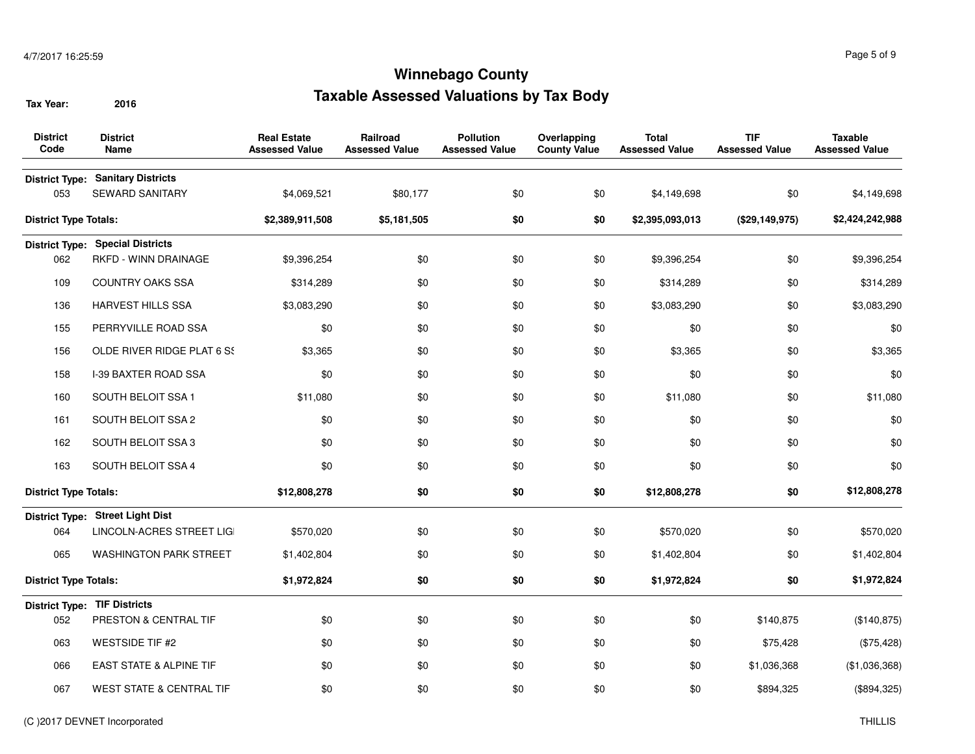| <b>District</b><br>Code      | <b>District</b><br><b>Name</b>               | <b>Real Estate</b><br><b>Assessed Value</b> | <b>Railroad</b><br><b>Assessed Value</b> | <b>Pollution</b><br><b>Assessed Value</b> | Overlapping<br><b>County Value</b> | <b>Total</b><br><b>Assessed Value</b> | <b>TIF</b><br><b>Assessed Value</b> | <b>Taxable</b><br><b>Assessed Value</b> |
|------------------------------|----------------------------------------------|---------------------------------------------|------------------------------------------|-------------------------------------------|------------------------------------|---------------------------------------|-------------------------------------|-----------------------------------------|
| <b>District Type:</b><br>053 | <b>Sanitary Districts</b><br>SEWARD SANITARY | \$4,069,521                                 | \$80,177                                 | \$0                                       | \$0                                | \$4,149,698                           | \$0                                 | \$4,149,698                             |
| <b>District Type Totals:</b> |                                              | \$2,389,911,508                             | \$5,181,505                              | \$0                                       | \$0                                | \$2,395,093,013                       | (\$29,149,975)                      | \$2,424,242,988                         |
|                              | <b>District Type: Special Districts</b>      |                                             |                                          |                                           |                                    |                                       |                                     |                                         |
| 062                          | RKFD - WINN DRAINAGE                         | \$9,396,254                                 | \$0                                      | \$0                                       | \$0                                | \$9,396,254                           | \$0                                 | \$9,396,254                             |
| 109                          | <b>COUNTRY OAKS SSA</b>                      | \$314,289                                   | \$0                                      | \$0                                       | \$0                                | \$314,289                             | \$0                                 | \$314,289                               |
| 136                          | <b>HARVEST HILLS SSA</b>                     | \$3,083,290                                 | \$0                                      | \$0                                       | \$0                                | \$3,083,290                           | \$0                                 | \$3,083,290                             |
| 155                          | PERRYVILLE ROAD SSA                          | \$0                                         | \$0                                      | \$0                                       | \$0                                | \$0                                   | \$0                                 | \$0                                     |
| 156                          | OLDE RIVER RIDGE PLAT 6 SS                   | \$3,365                                     | \$0                                      | \$0                                       | \$0                                | \$3,365                               | \$0                                 | \$3,365                                 |
| 158                          | <b>I-39 BAXTER ROAD SSA</b>                  | \$0                                         | \$0                                      | \$0                                       | \$0                                | \$0                                   | \$0                                 | \$0                                     |
| 160                          | SOUTH BELOIT SSA 1                           | \$11,080                                    | \$0                                      | \$0                                       | \$0                                | \$11,080                              | \$0                                 | \$11,080                                |
| 161                          | SOUTH BELOIT SSA 2                           | \$0                                         | \$0                                      | \$0                                       | \$0                                | \$0                                   | \$0                                 | \$0                                     |
| 162                          | SOUTH BELOIT SSA 3                           | \$0                                         | \$0                                      | \$0                                       | \$0                                | \$0                                   | \$0                                 | \$0                                     |
| 163                          | SOUTH BELOIT SSA 4                           | \$0                                         | \$0                                      | \$0                                       | \$0                                | \$0                                   | \$0                                 | \$0                                     |
| <b>District Type Totals:</b> |                                              | \$12,808,278                                | \$0                                      | \$0                                       | \$0                                | \$12,808,278                          | \$0                                 | \$12,808,278                            |
|                              | District Type: Street Light Dist             |                                             |                                          |                                           |                                    |                                       |                                     |                                         |
| 064                          | LINCOLN-ACRES STREET LIG                     | \$570,020                                   | \$0                                      | \$0                                       | \$0                                | \$570,020                             | \$0                                 | \$570,020                               |
| 065                          | <b>WASHINGTON PARK STREET</b>                | \$1,402,804                                 | \$0                                      | \$0                                       | \$0                                | \$1,402,804                           | \$0                                 | \$1,402,804                             |
| <b>District Type Totals:</b> |                                              | \$1,972,824                                 | \$0                                      | \$0                                       | \$0                                | \$1,972,824                           | \$0                                 | \$1,972,824                             |
|                              | <b>District Type: TIF Districts</b>          |                                             |                                          |                                           |                                    |                                       |                                     |                                         |
| 052                          | <b>PRESTON &amp; CENTRAL TIF</b>             | \$0                                         | \$0                                      | \$0                                       | \$0                                | \$0                                   | \$140,875                           | (\$140, 875)                            |
| 063                          | WESTSIDE TIF #2                              | \$0                                         | \$0                                      | \$0                                       | \$0                                | \$0                                   | \$75,428                            | (\$75,428)                              |
| 066                          | EAST STATE & ALPINE TIF                      | \$0                                         | \$0                                      | \$0                                       | \$0                                | \$0                                   | \$1,036,368                         | (\$1,036,368)                           |
| 067                          | <b>WEST STATE &amp; CENTRAL TIF</b>          | \$0                                         | \$0                                      | \$0                                       | \$0                                | \$0                                   | \$894,325                           | (\$894,325)                             |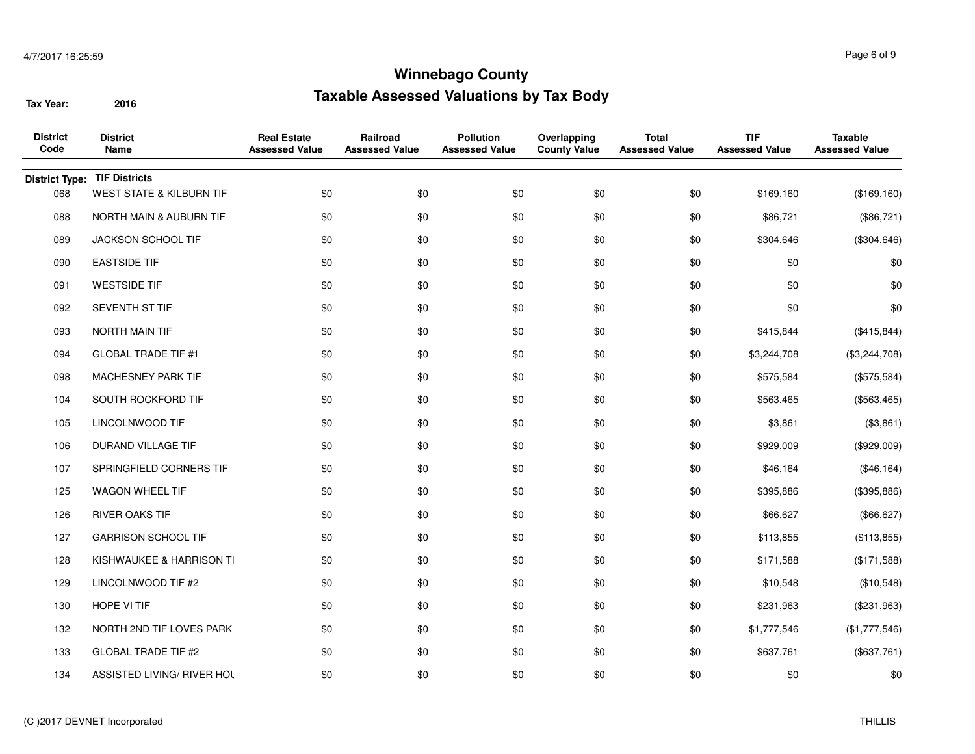| <b>District</b><br>Code | <b>District</b><br>Name             | <b>Real Estate</b><br><b>Assessed Value</b> | Railroad<br><b>Assessed Value</b> | <b>Pollution</b><br><b>Assessed Value</b> | Overlapping<br><b>County Value</b> | <b>Total</b><br><b>Assessed Value</b> | <b>TIF</b><br><b>Assessed Value</b> | <b>Taxable</b><br><b>Assessed Value</b> |
|-------------------------|-------------------------------------|---------------------------------------------|-----------------------------------|-------------------------------------------|------------------------------------|---------------------------------------|-------------------------------------|-----------------------------------------|
| <b>District Type:</b>   | <b>TIF Districts</b>                |                                             |                                   |                                           |                                    |                                       |                                     |                                         |
| 068                     | <b>WEST STATE &amp; KILBURN TIF</b> | \$0                                         | \$0                               | \$0                                       | \$0                                | \$0                                   | \$169,160                           | (\$169, 160)                            |
| 088                     | NORTH MAIN & AUBURN TIF             | \$0                                         | \$0                               | \$0                                       | \$0                                | \$0                                   | \$86,721                            | (\$86,721)                              |
| 089                     | JACKSON SCHOOL TIF                  | \$0                                         | \$0                               | \$0                                       | \$0                                | \$0                                   | \$304,646                           | (\$304, 646)                            |
| 090                     | <b>EASTSIDE TIF</b>                 | \$0                                         | \$0                               | \$0                                       | \$0                                | \$0                                   | \$0                                 | \$0                                     |
| 091                     | <b>WESTSIDE TIF</b>                 | \$0                                         | \$0                               | \$0                                       | \$0                                | \$0                                   | \$0                                 | \$0                                     |
| 092                     | SEVENTH ST TIF                      | \$0                                         | \$0                               | \$0                                       | \$0                                | \$0                                   | \$0                                 | \$0                                     |
| 093                     | NORTH MAIN TIF                      | \$0                                         | \$0                               | \$0                                       | \$0                                | \$0                                   | \$415,844                           | (\$415,844)                             |
| 094                     | <b>GLOBAL TRADE TIF #1</b>          | \$0                                         | \$0                               | \$0                                       | \$0                                | \$0                                   | \$3,244,708                         | (\$3,244,708)                           |
| 098                     | MACHESNEY PARK TIF                  | \$0                                         | \$0                               | \$0                                       | \$0                                | \$0                                   | \$575,584                           | (\$575,584)                             |
| 104                     | SOUTH ROCKFORD TIF                  | \$0                                         | \$0                               | \$0                                       | \$0                                | \$0                                   | \$563,465                           | (\$563,465)                             |
| 105                     | LINCOLNWOOD TIF                     | \$0                                         | \$0                               | \$0                                       | \$0                                | \$0                                   | \$3,861                             | (\$3,861)                               |
| 106                     | DURAND VILLAGE TIF                  | \$0                                         | \$0                               | \$0                                       | \$0                                | \$0                                   | \$929,009                           | (\$929,009)                             |
| 107                     | SPRINGFIELD CORNERS TIF             | \$0                                         | \$0                               | \$0                                       | \$0                                | \$0                                   | \$46,164                            | (\$46, 164)                             |
| 125                     | WAGON WHEEL TIF                     | \$0                                         | \$0                               | \$0                                       | \$0                                | \$0                                   | \$395,886                           | (\$395,886)                             |
| 126                     | <b>RIVER OAKS TIF</b>               | \$0                                         | \$0                               | \$0                                       | \$0                                | \$0                                   | \$66,627                            | (\$66, 627)                             |
| 127                     | <b>GARRISON SCHOOL TIF</b>          | \$0                                         | \$0                               | \$0                                       | \$0                                | \$0                                   | \$113,855                           | (\$113,855)                             |
| 128                     | KISHWAUKEE & HARRISON TI            | \$0                                         | \$0                               | \$0                                       | \$0                                | \$0                                   | \$171,588                           | (\$171,588)                             |
| 129                     | LINCOLNWOOD TIF #2                  | \$0                                         | \$0                               | \$0                                       | \$0                                | \$0                                   | \$10,548                            | (\$10,548)                              |
| 130                     | HOPE VI TIF                         | \$0                                         | \$0                               | \$0                                       | \$0                                | \$0                                   | \$231,963                           | $(\$231,963)$                           |
| 132                     | NORTH 2ND TIF LOVES PARK            | \$0                                         | \$0                               | \$0                                       | \$0                                | \$0                                   | \$1,777,546                         | (\$1,777,546)                           |
| 133                     | <b>GLOBAL TRADE TIF #2</b>          | \$0                                         | \$0                               | \$0                                       | \$0                                | \$0                                   | \$637,761                           | (\$637,761)                             |
| 134                     | ASSISTED LIVING/ RIVER HOL          | \$0                                         | \$0                               | \$0                                       | \$0                                | \$0                                   | \$0                                 | \$0                                     |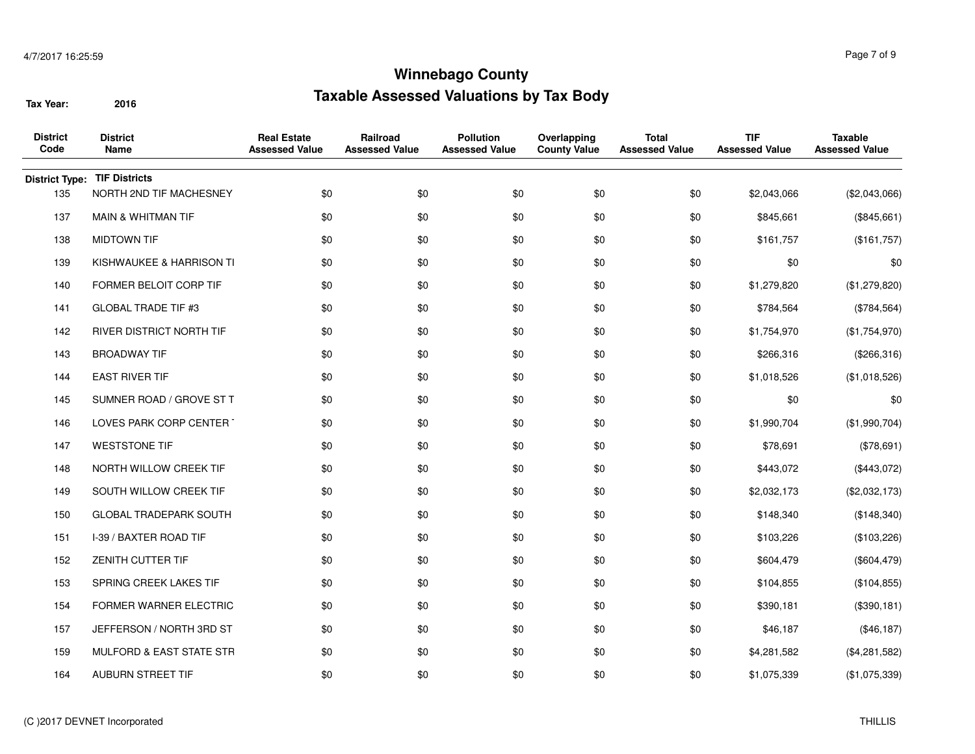| <b>District</b><br>Code | <b>District</b><br>Name       | <b>Real Estate</b><br><b>Assessed Value</b> | Railroad<br><b>Assessed Value</b> | <b>Pollution</b><br><b>Assessed Value</b> | Overlapping<br><b>County Value</b> | <b>Total</b><br><b>Assessed Value</b> | <b>TIF</b><br><b>Assessed Value</b> | <b>Taxable</b><br><b>Assessed Value</b> |
|-------------------------|-------------------------------|---------------------------------------------|-----------------------------------|-------------------------------------------|------------------------------------|---------------------------------------|-------------------------------------|-----------------------------------------|
| <b>District Type:</b>   | <b>TIF Districts</b>          |                                             |                                   |                                           |                                    |                                       |                                     |                                         |
| 135                     | NORTH 2ND TIF MACHESNEY       | \$0                                         | \$0                               | \$0                                       | \$0                                | \$0                                   | \$2,043,066                         | (\$2,043,066)                           |
| 137                     | <b>MAIN &amp; WHITMAN TIF</b> | \$0                                         | \$0                               | \$0                                       | \$0                                | \$0                                   | \$845,661                           | (\$845,661)                             |
| 138                     | <b>MIDTOWN TIF</b>            | \$0                                         | \$0                               | \$0                                       | \$0                                | \$0                                   | \$161,757                           | (\$161,757)                             |
| 139                     | KISHWAUKEE & HARRISON TI      | \$0                                         | \$0                               | \$0                                       | \$0                                | \$0                                   | \$0                                 | \$0                                     |
| 140                     | FORMER BELOIT CORP TIF        | \$0                                         | \$0                               | \$0                                       | \$0                                | \$0                                   | \$1,279,820                         | (\$1,279,820)                           |
| 141                     | <b>GLOBAL TRADE TIF #3</b>    | \$0                                         | \$0                               | \$0                                       | \$0                                | \$0                                   | \$784,564                           | (\$784,564)                             |
| 142                     | RIVER DISTRICT NORTH TIF      | \$0                                         | \$0                               | \$0                                       | \$0                                | \$0                                   | \$1,754,970                         | (\$1,754,970)                           |
| 143                     | <b>BROADWAY TIF</b>           | \$0                                         | \$0                               | \$0                                       | \$0                                | \$0                                   | \$266,316                           | (\$266,316)                             |
| 144                     | <b>EAST RIVER TIF</b>         | \$0                                         | \$0                               | \$0                                       | \$0                                | \$0                                   | \$1,018,526                         | (\$1,018,526)                           |
| 145                     | SUMNER ROAD / GROVE ST T      | \$0                                         | \$0                               | \$0                                       | \$0                                | \$0                                   | \$0                                 | \$0                                     |
| 146                     | LOVES PARK CORP CENTER        | \$0                                         | \$0                               | \$0                                       | \$0                                | \$0                                   | \$1,990,704                         | (\$1,990,704)                           |
| 147                     | <b>WESTSTONE TIF</b>          | \$0                                         | \$0                               | \$0                                       | \$0                                | \$0                                   | \$78,691                            | (\$78,691)                              |
| 148                     | NORTH WILLOW CREEK TIF        | \$0                                         | \$0                               | \$0                                       | \$0                                | \$0                                   | \$443,072                           | (\$443,072)                             |
| 149                     | SOUTH WILLOW CREEK TIF        | \$0                                         | \$0                               | \$0                                       | \$0                                | \$0                                   | \$2,032,173                         | (\$2,032,173)                           |
| 150                     | <b>GLOBAL TRADEPARK SOUTH</b> | \$0                                         | \$0                               | \$0                                       | \$0                                | \$0                                   | \$148,340                           | (\$148,340)                             |
| 151                     | I-39 / BAXTER ROAD TIF        | \$0                                         | \$0                               | \$0                                       | \$0                                | \$0                                   | \$103,226                           | (\$103,226)                             |
| 152                     | <b>ZENITH CUTTER TIF</b>      | \$0                                         | \$0                               | \$0                                       | \$0                                | \$0                                   | \$604,479                           | (\$604, 479)                            |
| 153                     | SPRING CREEK LAKES TIF        | \$0                                         | \$0                               | \$0                                       | \$0                                | \$0                                   | \$104,855                           | (\$104, 855)                            |
| 154                     | FORMER WARNER ELECTRIC        | \$0                                         | \$0                               | \$0                                       | \$0                                | \$0                                   | \$390,181                           | (\$390, 181)                            |
| 157                     | JEFFERSON / NORTH 3RD ST      | \$0                                         | \$0                               | \$0                                       | \$0                                | \$0                                   | \$46,187                            | (\$46, 187)                             |
| 159                     | MULFORD & EAST STATE STR      | \$0                                         | \$0                               | \$0                                       | \$0                                | \$0                                   | \$4,281,582                         | (\$4,281,582)                           |
| 164                     | AUBURN STREET TIF             | \$0                                         | \$0                               | \$0                                       | \$0                                | \$0                                   | \$1,075,339                         | (\$1,075,339)                           |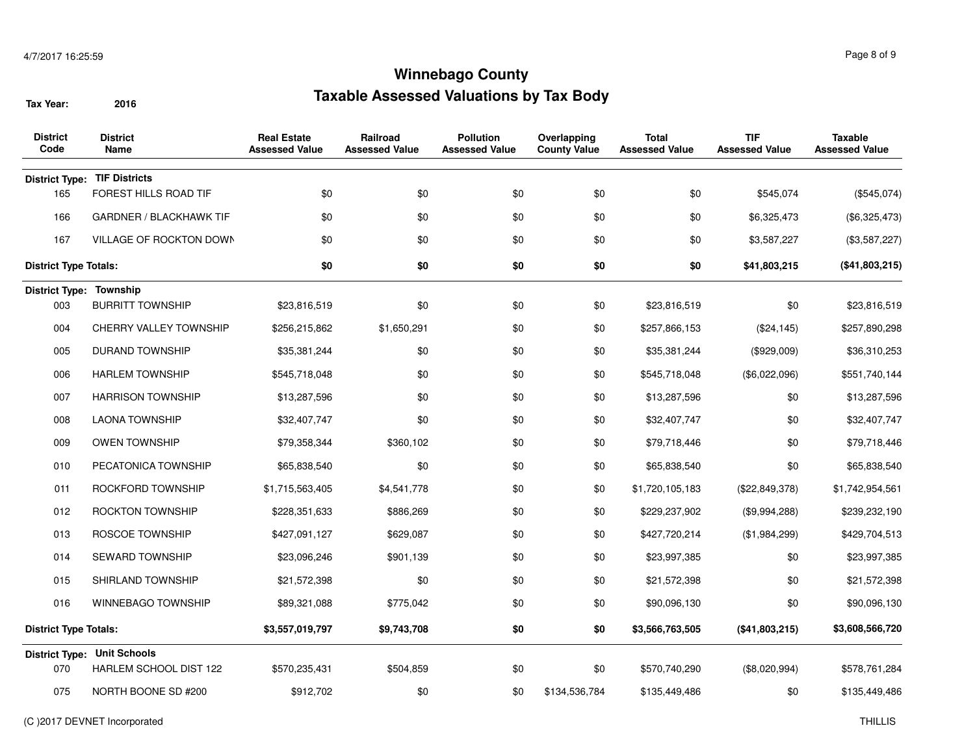| <b>District</b><br>Code        | <b>District</b><br>Name             | <b>Real Estate</b><br><b>Assessed Value</b> | Railroad<br><b>Assessed Value</b> | <b>Pollution</b><br><b>Assessed Value</b> | Overlapping<br><b>County Value</b> | <b>Total</b><br><b>Assessed Value</b> | <b>TIF</b><br><b>Assessed Value</b> | <b>Taxable</b><br><b>Assessed Value</b> |
|--------------------------------|-------------------------------------|---------------------------------------------|-----------------------------------|-------------------------------------------|------------------------------------|---------------------------------------|-------------------------------------|-----------------------------------------|
|                                | <b>District Type: TIF Districts</b> |                                             |                                   |                                           |                                    |                                       |                                     |                                         |
| 165                            | FOREST HILLS ROAD TIF               | \$0                                         | \$0                               | \$0                                       | \$0                                | \$0                                   | \$545,074                           | (\$545,074)                             |
| 166                            | <b>GARDNER / BLACKHAWK TIF</b>      | \$0                                         | \$0                               | \$0                                       | \$0                                | \$0                                   | \$6,325,473                         | (\$6,325,473)                           |
| 167                            | VILLAGE OF ROCKTON DOWN             | \$0                                         | \$0                               | \$0                                       | \$0                                | \$0                                   | \$3,587,227                         | (\$3,587,227)                           |
| <b>District Type Totals:</b>   |                                     | \$0                                         | \$0                               | \$0                                       | \$0                                | \$0                                   | \$41,803,215                        | (\$41,803,215)                          |
| <b>District Type: Township</b> |                                     |                                             |                                   |                                           |                                    |                                       |                                     |                                         |
| 003                            | <b>BURRITT TOWNSHIP</b>             | \$23,816,519                                | \$0                               | \$0                                       | \$0                                | \$23,816,519                          | \$0                                 | \$23,816,519                            |
| 004                            | CHERRY VALLEY TOWNSHIP              | \$256,215,862                               | \$1,650,291                       | \$0                                       | \$0                                | \$257,866,153                         | (\$24, 145)                         | \$257,890,298                           |
| 005                            | <b>DURAND TOWNSHIP</b>              | \$35,381,244                                | \$0                               | \$0                                       | \$0                                | \$35,381,244                          | (\$929,009)                         | \$36,310,253                            |
| 006                            | <b>HARLEM TOWNSHIP</b>              | \$545,718,048                               | \$0                               | \$0                                       | \$0                                | \$545,718,048                         | (\$6,022,096)                       | \$551,740,144                           |
| 007                            | <b>HARRISON TOWNSHIP</b>            | \$13,287,596                                | \$0                               | \$0                                       | \$0                                | \$13,287,596                          | \$0                                 | \$13,287,596                            |
| 008                            | <b>LAONA TOWNSHIP</b>               | \$32,407,747                                | \$0                               | \$0                                       | \$0                                | \$32,407,747                          | \$0                                 | \$32,407,747                            |
| 009                            | <b>OWEN TOWNSHIP</b>                | \$79,358,344                                | \$360,102                         | \$0                                       | \$0                                | \$79,718,446                          | \$0                                 | \$79,718,446                            |
| 010                            | PECATONICA TOWNSHIP                 | \$65,838,540                                | \$0                               | \$0                                       | \$0                                | \$65,838,540                          | \$0                                 | \$65,838,540                            |
| 011                            | ROCKFORD TOWNSHIP                   | \$1,715,563,405                             | \$4,541,778                       | \$0                                       | \$0                                | \$1,720,105,183                       | (\$22,849,378)                      | \$1,742,954,561                         |
| 012                            | ROCKTON TOWNSHIP                    | \$228,351,633                               | \$886,269                         | \$0                                       | \$0                                | \$229,237,902                         | (\$9,994,288)                       | \$239,232,190                           |
| 013                            | ROSCOE TOWNSHIP                     | \$427,091,127                               | \$629,087                         | \$0                                       | \$0                                | \$427,720,214                         | (\$1,984,299)                       | \$429,704,513                           |
| 014                            | SEWARD TOWNSHIP                     | \$23,096,246                                | \$901,139                         | \$0                                       | \$0                                | \$23,997,385                          | \$0                                 | \$23,997,385                            |
| 015                            | SHIRLAND TOWNSHIP                   | \$21,572,398                                | \$0                               | \$0                                       | \$0                                | \$21,572,398                          | \$0                                 | \$21,572,398                            |
| 016                            | WINNEBAGO TOWNSHIP                  | \$89,321,088                                | \$775,042                         | \$0                                       | \$0                                | \$90,096,130                          | \$0                                 | \$90,096,130                            |
| <b>District Type Totals:</b>   |                                     | \$3,557,019,797                             | \$9,743,708                       | \$0                                       | \$0                                | \$3,566,763,505                       | (\$41,803,215)                      | \$3,608,566,720                         |
|                                | <b>District Type: Unit Schools</b>  |                                             |                                   |                                           |                                    |                                       |                                     |                                         |
| 070                            | HARLEM SCHOOL DIST 122              | \$570,235,431                               | \$504,859                         | \$0                                       | \$0                                | \$570,740,290                         | (\$8,020,994)                       | \$578,761,284                           |
| 075                            | NORTH BOONE SD #200                 | \$912,702                                   | \$0                               | \$0                                       | \$134,536,784                      | \$135,449,486                         | \$0                                 | \$135,449,486                           |